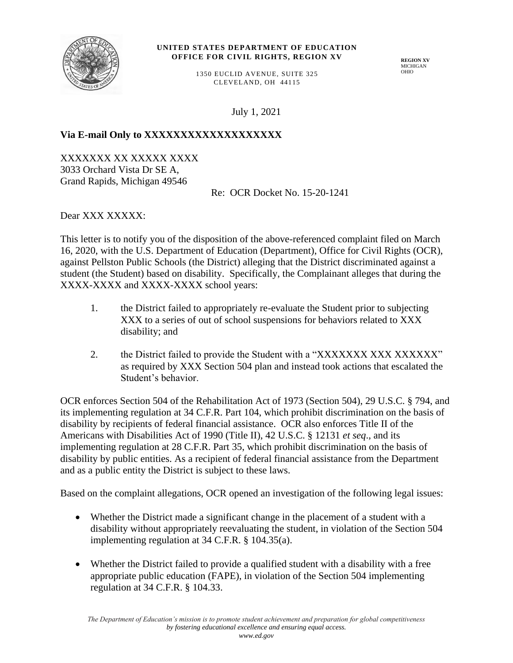

#### **UNITED STATES DEPARTMENT OF EDUCATION OFFICE FOR CIVIL RIGHTS, REGION XV**

**REGION XV** MICHIGAN OHIO

1350 EUCLID AVENUE, SUITE 325 CLEVELAND, OH 44115

July 1, 2021

# Via E-mail Only to XXXXXXXXXXXXXXXXXX

XXXXXXX XX XXXXX XXXX 3033 Orchard Vista Dr SE A, Grand Rapids, Michigan 49546

Re: OCR Docket No. 15-20-1241

Dear XXX XXXXX:

This letter is to notify you of the disposition of the above-referenced complaint filed on March 16, 2020, with the U.S. Department of Education (Department), Office for Civil Rights (OCR), against Pellston Public Schools (the District) alleging that the District discriminated against a student (the Student) based on disability. Specifically, the Complainant alleges that during the XXXX-XXXX and XXXX-XXXX school years:

- 1. the District failed to appropriately re-evaluate the Student prior to subjecting XXX to a series of out of school suspensions for behaviors related to XXX disability; and
- 2. the District failed to provide the Student with a "XXXXXXX XXX XXXXXXX" as required by XXX Section 504 plan and instead took actions that escalated the Student's behavior.

OCR enforces Section 504 of the Rehabilitation Act of 1973 (Section 504), 29 U.S.C. § 794, and its implementing regulation at 34 C.F.R. Part 104, which prohibit discrimination on the basis of disability by recipients of federal financial assistance. OCR also enforces Title II of the Americans with Disabilities Act of 1990 (Title II), 42 U.S.C. § 12131 *et seq*., and its implementing regulation at 28 C.F.R. Part 35, which prohibit discrimination on the basis of disability by public entities. As a recipient of federal financial assistance from the Department and as a public entity the District is subject to these laws.

Based on the complaint allegations, OCR opened an investigation of the following legal issues:

- Whether the District made a significant change in the placement of a student with a disability without appropriately reevaluating the student, in violation of the Section 504 implementing regulation at 34 C.F.R. § 104.35(a).
- Whether the District failed to provide a qualified student with a disability with a free appropriate public education (FAPE), in violation of the Section 504 implementing regulation at 34 C.F.R. § 104.33.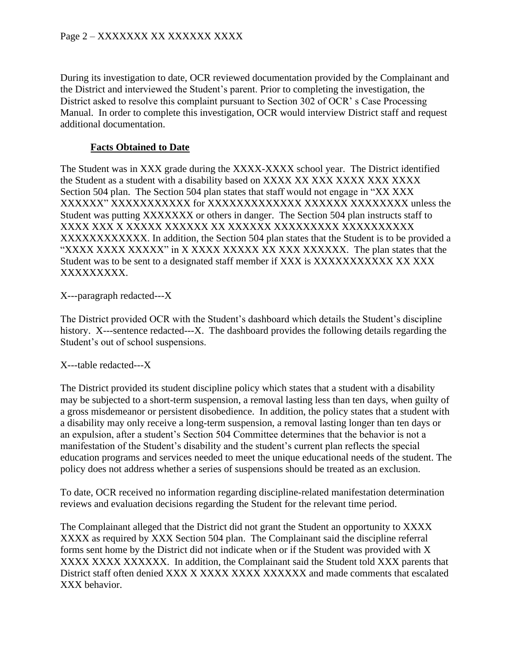# Page 2 – XXXXXXX XX XXXXXX XXXX

During its investigation to date, OCR reviewed documentation provided by the Complainant and the District and interviewed the Student's parent. Prior to completing the investigation, the District asked to resolve this complaint pursuant to Section 302 of OCR' s Case Processing Manual. In order to complete this investigation, OCR would interview District staff and request additional documentation.

### **Facts Obtained to Date**

The Student was in XXX grade during the XXXX-XXXX school year. The District identified the Student as a student with a disability based on XXXX XX XXX XXXX XXX XXXX Section 504 plan. The Section 504 plan states that staff would not engage in "XX XXX XXXXXX" XXXXXXXXXXX for XXXXXXXXXXXXX XXXXXX XXXXXXXX unless the Student was putting XXXXXXX or others in danger. The Section 504 plan instructs staff to XXXX XXX X XXXXX XXXXXX XX XXXXXX XXXXXXXXX XXXXXXXXXX XXXXXXXXXXXX. In addition, the Section 504 plan states that the Student is to be provided a "XXXX XXXX XXXXX" in X XXXX XXXXX XX XXX XXXXXX. The plan states that the Student was to be sent to a designated staff member if XXX is XXXXXXXXXXX XX XXX XXXXXXXXX.

X---paragraph redacted---X

The District provided OCR with the Student's dashboard which details the Student's discipline history. X---sentence redacted---X. The dashboard provides the following details regarding the Student's out of school suspensions.

X---table redacted---X

The District provided its student discipline policy which states that a student with a disability may be subjected to a short-term suspension, a removal lasting less than ten days, when guilty of a gross misdemeanor or persistent disobedience. In addition, the policy states that a student with a disability may only receive a long-term suspension, a removal lasting longer than ten days or an expulsion, after a student's Section 504 Committee determines that the behavior is not a manifestation of the Student's disability and the student's current plan reflects the special education programs and services needed to meet the unique educational needs of the student. The policy does not address whether a series of suspensions should be treated as an exclusion.

To date, OCR received no information regarding discipline-related manifestation determination reviews and evaluation decisions regarding the Student for the relevant time period.

The Complainant alleged that the District did not grant the Student an opportunity to XXXX XXXX as required by XXX Section 504 plan. The Complainant said the discipline referral forms sent home by the District did not indicate when or if the Student was provided with X XXXX XXXX XXXXXX. In addition, the Complainant said the Student told XXX parents that District staff often denied XXX X XXXX XXXX XXXXXX and made comments that escalated XXX behavior.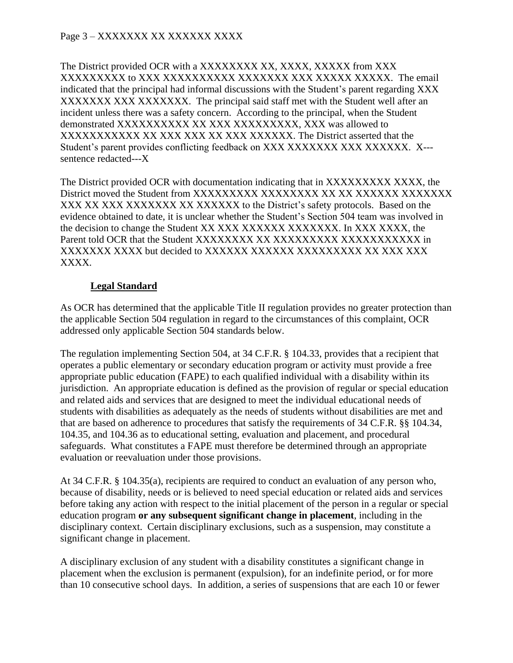The District provided OCR with a XXXXXXXX XX, XXXX, XXXXX from XXX XXXXXXXXX to XXX XXXXXXXXXX XXXXXXX XXX XXXXX XXXXX. The email indicated that the principal had informal discussions with the Student's parent regarding XXX XXXXXXX XXX XXXXXXX. The principal said staff met with the Student well after an incident unless there was a safety concern. According to the principal, when the Student demonstrated XXXXXXXXXX XX XXX XXXXXXXXX, XXX was allowed to XXXXXXXXXXX XX XXX XXX XX XXX XXXXXX. The District asserted that the Student's parent provides conflicting feedback on XXX XXXXXXX XXX XXXXXX. X--sentence redacted---X

The District provided OCR with documentation indicating that in XXXXXXXXXXXXX, the District moved the Student from XXXXXXXXX XXXXXXXX XX XX XXXXXX XXXXXXX XXX XX XXX XXXXXXX XX XXXXXXX to the District's safety protocols. Based on the evidence obtained to date, it is unclear whether the Student's Section 504 team was involved in the decision to change the Student XX XXX XXXXXX XXXXXXX. In XXX XXXX, the Parent told OCR that the Student XXXXXXXX XX XXXXXXXXX XXXXXXXXXXX in XXXXXXX XXXX but decided to XXXXXX XXXXXX XXXXXXXXX XX XXX XXX XXXX.

# **Legal Standard**

As OCR has determined that the applicable Title II regulation provides no greater protection than the applicable Section 504 regulation in regard to the circumstances of this complaint, OCR addressed only applicable Section 504 standards below.

The regulation implementing Section 504, at 34 C.F.R. § 104.33, provides that a recipient that operates a public elementary or secondary education program or activity must provide a free appropriate public education (FAPE) to each qualified individual with a disability within its jurisdiction. An appropriate education is defined as the provision of regular or special education and related aids and services that are designed to meet the individual educational needs of students with disabilities as adequately as the needs of students without disabilities are met and that are based on adherence to procedures that satisfy the requirements of 34 C.F.R. §§ 104.34, 104.35, and 104.36 as to educational setting, evaluation and placement, and procedural safeguards. What constitutes a FAPE must therefore be determined through an appropriate evaluation or reevaluation under those provisions.

At 34 C.F.R. § 104.35(a), recipients are required to conduct an evaluation of any person who, because of disability, needs or is believed to need special education or related aids and services before taking any action with respect to the initial placement of the person in a regular or special education program **or any subsequent significant change in placement**, including in the disciplinary context. Certain disciplinary exclusions, such as a suspension, may constitute a significant change in placement.

A disciplinary exclusion of any student with a disability constitutes a significant change in placement when the exclusion is permanent (expulsion), for an indefinite period, or for more than 10 consecutive school days. In addition, a series of suspensions that are each 10 or fewer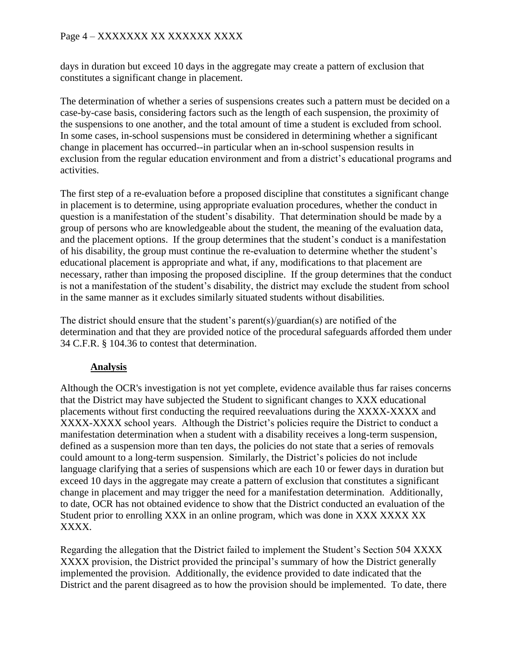# Page 4 – XXXXXXX XX XXXXXX XXXX

days in duration but exceed 10 days in the aggregate may create a pattern of exclusion that constitutes a significant change in placement.

The determination of whether a series of suspensions creates such a pattern must be decided on a case-by-case basis, considering factors such as the length of each suspension, the proximity of the suspensions to one another, and the total amount of time a student is excluded from school. In some cases, in-school suspensions must be considered in determining whether a significant change in placement has occurred--in particular when an in-school suspension results in exclusion from the regular education environment and from a district's educational programs and activities.

The first step of a re-evaluation before a proposed discipline that constitutes a significant change in placement is to determine, using appropriate evaluation procedures, whether the conduct in question is a manifestation of the student's disability. That determination should be made by a group of persons who are knowledgeable about the student, the meaning of the evaluation data, and the placement options. If the group determines that the student's conduct is a manifestation of his disability, the group must continue the re-evaluation to determine whether the student's educational placement is appropriate and what, if any, modifications to that placement are necessary, rather than imposing the proposed discipline. If the group determines that the conduct is not a manifestation of the student's disability, the district may exclude the student from school in the same manner as it excludes similarly situated students without disabilities.

The district should ensure that the student's parent(s)/guardian(s) are notified of the determination and that they are provided notice of the procedural safeguards afforded them under 34 C.F.R. § 104.36 to contest that determination.

#### **Analysis**

Although the OCR's investigation is not yet complete, evidence available thus far raises concerns that the District may have subjected the Student to significant changes to XXX educational placements without first conducting the required reevaluations during the XXXX-XXXX and XXXX-XXXX school years. Although the District's policies require the District to conduct a manifestation determination when a student with a disability receives a long-term suspension, defined as a suspension more than ten days, the policies do not state that a series of removals could amount to a long-term suspension. Similarly, the District's policies do not include language clarifying that a series of suspensions which are each 10 or fewer days in duration but exceed 10 days in the aggregate may create a pattern of exclusion that constitutes a significant change in placement and may trigger the need for a manifestation determination. Additionally, to date, OCR has not obtained evidence to show that the District conducted an evaluation of the Student prior to enrolling XXX in an online program, which was done in XXX XXXX XX XXXX.

Regarding the allegation that the District failed to implement the Student's Section 504 XXXX XXXX provision, the District provided the principal's summary of how the District generally implemented the provision. Additionally, the evidence provided to date indicated that the District and the parent disagreed as to how the provision should be implemented. To date, there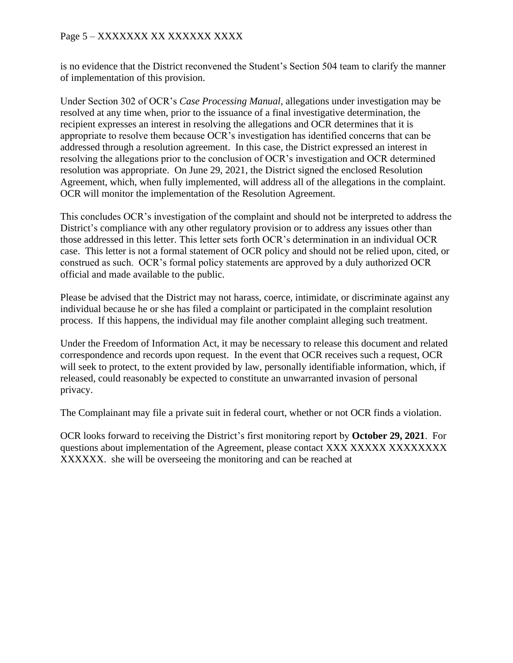# Page 5 – XXXXXXX XX XXXXXX XXXX

is no evidence that the District reconvened the Student's Section 504 team to clarify the manner of implementation of this provision.

Under Section 302 of OCR's *Case Processing Manual*, allegations under investigation may be resolved at any time when, prior to the issuance of a final investigative determination, the recipient expresses an interest in resolving the allegations and OCR determines that it is appropriate to resolve them because OCR's investigation has identified concerns that can be addressed through a resolution agreement. In this case, the District expressed an interest in resolving the allegations prior to the conclusion of OCR's investigation and OCR determined resolution was appropriate. On June 29, 2021, the District signed the enclosed Resolution Agreement, which, when fully implemented, will address all of the allegations in the complaint. OCR will monitor the implementation of the Resolution Agreement.

This concludes OCR's investigation of the complaint and should not be interpreted to address the District's compliance with any other regulatory provision or to address any issues other than those addressed in this letter. This letter sets forth OCR's determination in an individual OCR case. This letter is not a formal statement of OCR policy and should not be relied upon, cited, or construed as such. OCR's formal policy statements are approved by a duly authorized OCR official and made available to the public.

Please be advised that the District may not harass, coerce, intimidate, or discriminate against any individual because he or she has filed a complaint or participated in the complaint resolution process. If this happens, the individual may file another complaint alleging such treatment.

Under the Freedom of Information Act, it may be necessary to release this document and related correspondence and records upon request. In the event that OCR receives such a request, OCR will seek to protect, to the extent provided by law, personally identifiable information, which, if released, could reasonably be expected to constitute an unwarranted invasion of personal privacy.

The Complainant may file a private suit in federal court, whether or not OCR finds a violation.

OCR looks forward to receiving the District's first monitoring report by **October 29, 2021**. For questions about implementation of the Agreement, please contact XXX XXXXX XXXXXXXXX XXXXXX. she will be overseeing the monitoring and can be reached at